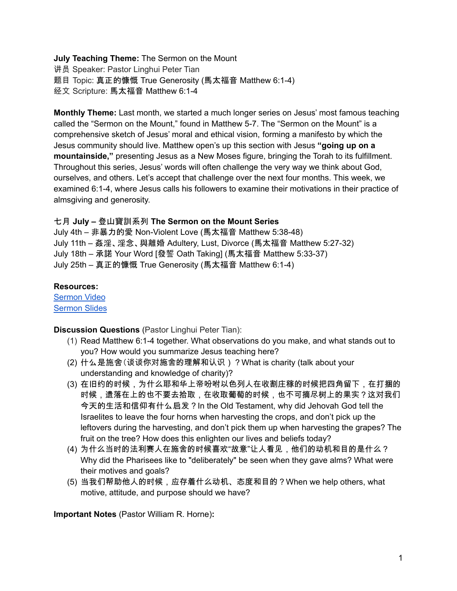## **July Teaching Theme:** The Sermon on the Mount

讲员 Speaker: Pastor Linghui Peter Tian 题目 Topic: 真正的慷慨 True Generosity (馬太福音 Matthew 6:1-4) 经文 Scripture: 馬太福音 Matthew 6:1-4

**Monthly Theme:** Last month, we started a much longer series on Jesus' most famous teaching called the "Sermon on the Mount," found in Matthew 5-7. The "Sermon on the Mount" is a comprehensive sketch of Jesus' moral and ethical vision, forming a manifesto by which the Jesus community should live. Matthew open's up this section with Jesus **"going up on a mountainside,"** presenting Jesus as a New Moses figure, bringing the Torah to its fulfillment. Throughout this series, Jesus' words will often challenge the very way we think about God, ourselves, and others. Let's accept that challenge over the next four months. This week, we examined 6:1-4, where Jesus calls his followers to examine their motivations in their practice of almsgiving and generosity.

## 七月 **July –** 登山寶訓系列 **The Sermon on the Mount Series**

July 4th – 非暴力的愛 Non-Violent Love (馬太福音 Matthew 5:38-48) July 11th – 姦淫、淫念、與離婚 Adultery, Lust, Divorce (馬太福音 Matthew 5:27-32) July 18th – 承諾 Your Word [發誓 Oath Taking] (馬太福音 Matthew 5:33-37) July 25th – 真正的慷慨 True Generosity (馬太福音 Matthew 6:1-4)

## **Resources:**

[Sermon](https://www.youtube.com/watch?v=kCQoarXqths) Video [Sermon](http://www.lcccky.org/CellGroup/Meetings/%E7%99%BB%E5%B1%B1%E5%AE%9D%E8%AE%AD%EF%BC%9A%E8%AE%BA%E6%96%BD%E8%88%8D.pdf) Slides

**Discussion Questions** (Pastor Linghui Peter Tian):

- (1) Read Matthew 6:1-4 together. What observations do you make, and what stands out to you? How would you summarize Jesus teaching here?
- (2) 什么是施舍(谈谈你对施舍的理解和认识)?What is charity (talk about your understanding and knowledge of charity)?
- (3) 在旧约的时候,为什么耶和华上帝吩咐以色列人在收割庄稼的时候把四角留下,在打捆的 时候,遗落在上的也不要去拾取,在收取葡萄的时候,也不可摘尽树上的果实?这对我们 今天的生活和信仰有什么启发?In the Old Testament, why did Jehovah God tell the Israelites to leave the four horns when harvesting the crops, and don't pick up the leftovers during the harvesting, and don't pick them up when harvesting the grapes? The fruit on the tree? How does this enlighten our lives and beliefs today?
- (4) 为什么当时的法利赛人在施舍的时候喜欢"故意"让人看见,他们的动机和目的是什么? Why did the Pharisees like to "deliberately" be seen when they gave alms? What were their motives and goals?
- (5) 当我们帮助他人的时候,应存着什么动机、态度和目的?When we help others, what motive, attitude, and purpose should we have?

**Important Notes** (Pastor William R. Horne)**:**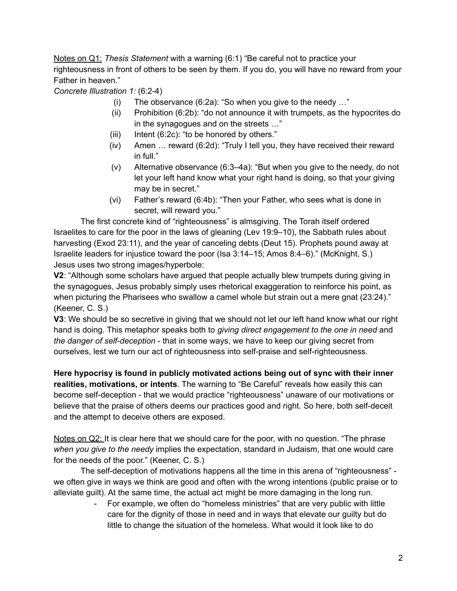Notes on Q1: *Thesis Statement* with a warning (6:1) "Be careful not to practice your righteousness in front of others to be seen by them. If you do, you will have no reward from your Father in heaven."

*Concrete Illustration 1:* (6:2-4)

- (i) The observance (6:2a): "So when you give to the needy …"
- (ii) Prohibition (6:2b): "do not announce it with trumpets, as the hypocrites do in the synagogues and on the streets …"
- (iii) Intent  $(6:2c)$ : "to be honored by others."
- (iv) Amen … reward (6:2d): "Truly I tell you, they have received their reward in full."
- (v) Alternative observance (6:3–4a): "But when you give to the needy, do not let your left hand know what your right hand is doing, so that your giving may be in secret."
- (vi) Father's reward (6:4b): "Then your Father, who sees what is done in secret, will reward you."

The first concrete kind of "righteousness" is almsgiving. The Torah itself ordered Israelites to care for the poor in the laws of gleaning (Lev 19:9–10), the Sabbath rules about harvesting (Exod 23:11), and the year of canceling debts (Deut 15). Prophets pound away at Israelite leaders for injustice toward the poor (Isa 3:14–15; Amos 8:4–6)." (McKnight, S.) Jesus uses two strong images/hyperbole:

**V2**: "Although some scholars have argued that people actually blew trumpets during giving in the synagogues, Jesus probably simply uses rhetorical exaggeration to reinforce his point, as when picturing the Pharisees who swallow a camel whole but strain out a mere gnat (23:24)." (Keener, C. S.)

**V3**: We should be so secretive in giving that we should not let our left hand know what our right hand is doing. This metaphor speaks both to *giving direct engagement to the one in need* and *the danger of self-deception* - that in some ways, we have to keep our giving secret from ourselves, lest we turn our act of righteousness into self-praise and self-righteousness.

**Here hypocrisy is found in publicly motivated actions being out of sync with their inner realities, motivations, or intents**. The warning to "Be Careful" reveals how easily this can become self-deception - that we would practice "righteousness" unaware of our motivations or believe that the praise of others deems our practices good and right. So here, both self-deceit and the attempt to deceive others are exposed.

Notes on Q2: It is clear here that we should care for the poor, with no question. "The phrase *when you give to the needy* implies the expectation, standard in Judaism, that one would care for the needs of the poor." (Keener, C. S.)

The self-deception of motivations happens all the time in this arena of "righteousness" we often give in ways we think are good and often with the wrong intentions (public praise or to alleviate guilt). At the same time, the actual act might be more damaging in the long run.

For example, we often do "homeless ministries" that are very public with little care for the dignity of those in need and in ways that elevate our guilty but do little to change the situation of the homeless. What would it look like to do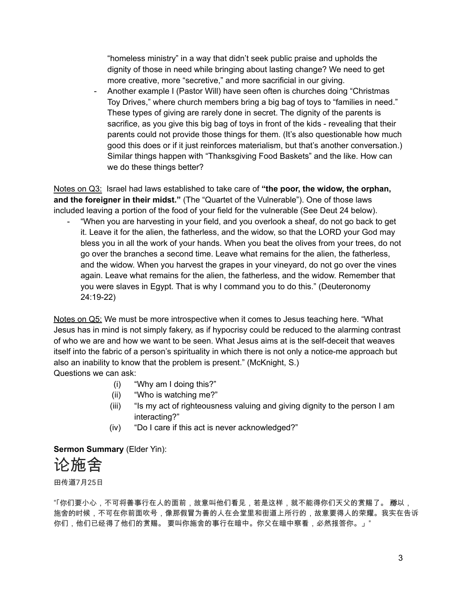"homeless ministry" in a way that didn't seek public praise and upholds the dignity of those in need while bringing about lasting change? We need to get more creative, more "secretive," and more sacrificial in our giving.

- Another example I (Pastor Will) have seen often is churches doing "Christmas Toy Drives," where church members bring a big bag of toys to "families in need." These types of giving are rarely done in secret. The dignity of the parents is sacrifice, as you give this big bag of toys in front of the kids - revealing that their parents could not provide those things for them. (It's also questionable how much good this does or if it just reinforces materialism, but that's another conversation.) Similar things happen with "Thanksgiving Food Baskets" and the like. How can we do these things better?

Notes on Q3: Israel had laws established to take care of **"the poor, the widow, the orphan, and the foreigner in their midst."** (The "Quartet of the Vulnerable"). One of those laws included leaving a portion of the food of your field for the vulnerable (See Deut 24 below).

"When you are harvesting in your field, and you overlook a sheaf, do not go back to get it. Leave it for the alien, the fatherless, and the widow, so that the LORD your God may bless you in all the work of your hands. When you beat the olives from your trees, do not go over the branches a second time. Leave what remains for the alien, the fatherless, and the widow. When you harvest the grapes in your vineyard, do not go over the vines again. Leave what remains for the alien, the fatherless, and the widow. Remember that you were slaves in Egypt. That is why I command you to do this." (Deuteronomy 24:19-22)

Notes on Q5: We must be more introspective when it comes to Jesus teaching here. "What Jesus has in mind is not simply fakery, as if hypocrisy could be reduced to the alarming contrast of who we are and how we want to be seen. What Jesus aims at is the self-deceit that weaves itself into the fabric of a person's spirituality in which there is not only a notice-me approach but also an inability to know that the problem is present." (McKnight, S.) Questions we can ask:

- (i) "Why am I doing this?"
- (ii) "Who is watching me?"
- (iii) "Is my act of righteousness valuing and giving dignity to the person I am interacting?"
- (iv) "Do I care if this act is never acknowledged?"

**Sermon Summary** (Elder Yin):



田传道7月25日

"「你们要小心,不可将善事行在人的面前,故意叫他们看见,若是这样,就不能得你们天父的赏赐了。 **麻**以, 施舍的时候,不可在你前面吹号,像那假冒为善的人在会堂里和街道上所行的,故意要得人的荣耀。我实在告诉 你们,他们已经得了他们的赏赐。 要叫你施舍的事行在暗中。你父在暗中察看,必然报答你。」"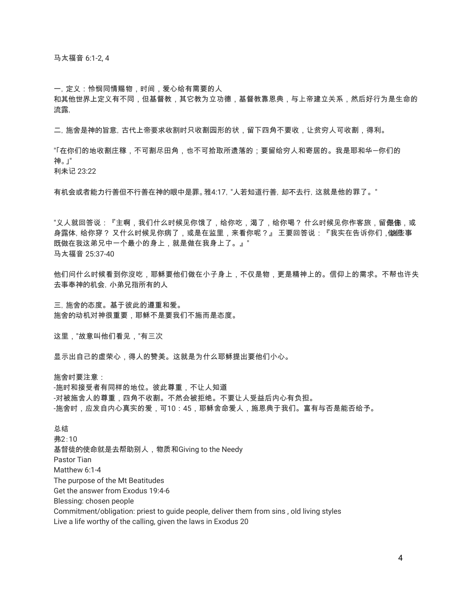马太福音 6:1-2, 4

一,定义:怜悯同情赐物,时间,爱心给有需要的人

和其他世界上定义有不同,但基督教,其它教为立功德,基督教靠恩典,与上帝建立关系,然后好行为是生命的 流露,

二,施舍是神的旨意,古代上帝要求收割时只收割园形的状,留下四角不要收,让贫穷人可收割,得利。

"「在你们的地收割庄稼,不可割尽田角,也不可拾取所遗落的;要留给穷人和寄居的。我是耶和华―你们的 神。」" 利未记 23:22

有机会或者能力行善但不行善在神的眼中是罪。雅4:17,"人若知道行善,却不去行,这就是他的罪了。"

"义人就回答说:『主啊,我们什么时候见你饿了,给你吃,渴了,给你喝? 什么时候见你作客旅,留**促徒**,或 身露体, 给你穿? 又什么时候见你病了,或是在监里,来看你呢?』 王要回答说:『我实在告诉你们 , 做陛事 既做在我这弟兄中一个最小的身上,就是做在我身上了。』" 马太福音 25:37-40

他们问什么时候看到你沒吃,耶稣要他们做在小子身上,不仅是物,更是精神上的。信仰上的需求。不帮也许失 去事奉神的机会,小弟兄指所有的人

三,施舍的态度。基于彼此的遵重和爱。 施舍的动机对神很重要,耶稣不是要我们不施而是态度。

这里,"故意叫他们看见,"有三次

显示出自己的虚荣心,得人的赞美。这就是为什么耶稣提出要他们小心。

施舍时要注意:

-施时和接受者有同样的地位。彼此尊重,不让人知道 -对被施舍人的尊重,四角不收割。不然会被拒绝。不要让人受益后内心有负担。 -施舍时,应发自内心真实的爱,可10:45,耶稣舍命爱人,施恩典于我们。富有与否是能否给予。

总结 弗2:10 基督徒的使命就是去帮助别人,物质和Giving to the Needy Pastor Tian Matthew 6:1-4 The purpose of the Mt Beatitudes Get the answer from Exodus 19:4-6 Blessing: chosen people Commitment/obligation: priest to guide people, deliver them from sins , old living styles Live a life worthy of the calling, given the laws in Exodus 20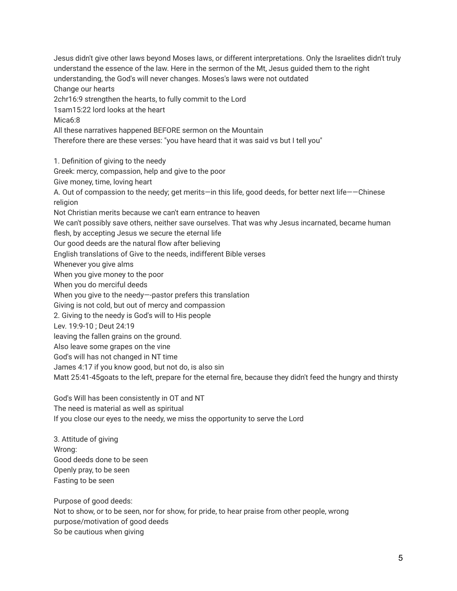Jesus didn't give other laws beyond Moses laws, or different interpretations. Only the Israelites didn't truly understand the essence of the law. Here in the sermon of the Mt, Jesus guided them to the right understanding, the God's will never changes. Moses's laws were not outdated Change our hearts 2chr16:9 strengthen the hearts, to fully commit to the Lord 1sam15:22 lord looks at the heart Mica6:8 All these narratives happened BEFORE sermon on the Mountain Therefore there are these verses: "you have heard that it was said vs but I tell you" 1. Definition of giving to the needy Greek: mercy, compassion, help and give to the poor Give money, time, loving heart

A. Out of compassion to the needy; get merits—in this life, good deeds, for better next life——Chinese religion

Not Christian merits because we can't earn entrance to heaven

We can't possibly save others, neither save ourselves. That was why Jesus incarnated, became human

flesh, by accepting Jesus we secure the eternal life

Our good deeds are the natural flow after believing

English translations of Give to the needs, indifferent Bible verses

Whenever you give alms

When you give money to the poor

When you do merciful deeds

When you give to the needy—-pastor prefers this translation

Giving is not cold, but out of mercy and compassion

2. Giving to the needy is God's will to His people

Lev. 19:9-10 ; Deut 24:19

leaving the fallen grains on the ground.

Also leave some grapes on the vine

God's will has not changed in NT time

James 4:17 if you know good, but not do, is also sin

Matt 25:41-45goats to the left, prepare for the eternal fire, because they didn't feed the hungry and thirsty

God's Will has been consistently in OT and NT

The need is material as well as spiritual

If you close our eyes to the needy, we miss the opportunity to serve the Lord

3. Attitude of giving Wrong: Good deeds done to be seen Openly pray, to be seen Fasting to be seen

Purpose of good deeds: Not to show, or to be seen, nor for show, for pride, to hear praise from other people, wrong purpose/motivation of good deeds So be cautious when giving